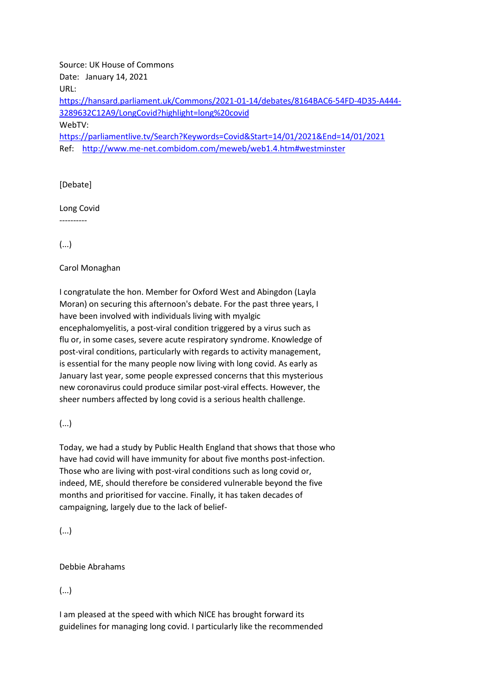Source: UK House of Commons Date: January 14, 2021 URL: [https://hansard.parliament.uk/Commons/2021-01-14/debates/8164BAC6-54FD-4D35-A444-](https://hansard.parliament.uk/Commons/2021-01-14/debates/8164BAC6-54FD-4D35-A444-3289632C12A9/LongCovid?highlight=long%20covid) [3289632C12A9/LongCovid?highlight=long%20covid](https://hansard.parliament.uk/Commons/2021-01-14/debates/8164BAC6-54FD-4D35-A444-3289632C12A9/LongCovid?highlight=long%20covid) WebTV: <https://parliamentlive.tv/Search?Keywords=Covid&Start=14/01/2021&End=14/01/2021> Ref: <http://www.me-net.combidom.com/meweb/web1.4.htm#westminster>

[Debate]

Long Covid

----------

(...)

Carol Monaghan

I congratulate the hon. Member for Oxford West and Abingdon (Layla Moran) on securing this afternoon's debate. For the past three years, I have been involved with individuals living with myalgic encephalomyelitis, a post-viral condition triggered by a virus such as flu or, in some cases, severe acute respiratory syndrome. Knowledge of post-viral conditions, particularly with regards to activity management, is essential for the many people now living with long covid. As early as January last year, some people expressed concerns that this mysterious new coronavirus could produce similar post-viral effects. However, the sheer numbers affected by long covid is a serious health challenge.

(...)

Today, we had a study by Public Health England that shows that those who have had covid will have immunity for about five months post-infection. Those who are living with post-viral conditions such as long covid or, indeed, ME, should therefore be considered vulnerable beyond the five months and prioritised for vaccine. Finally, it has taken decades of campaigning, largely due to the lack of belief-

(...)

Debbie Abrahams

(...)

I am pleased at the speed with which NICE has brought forward its guidelines for managing long covid. I particularly like the recommended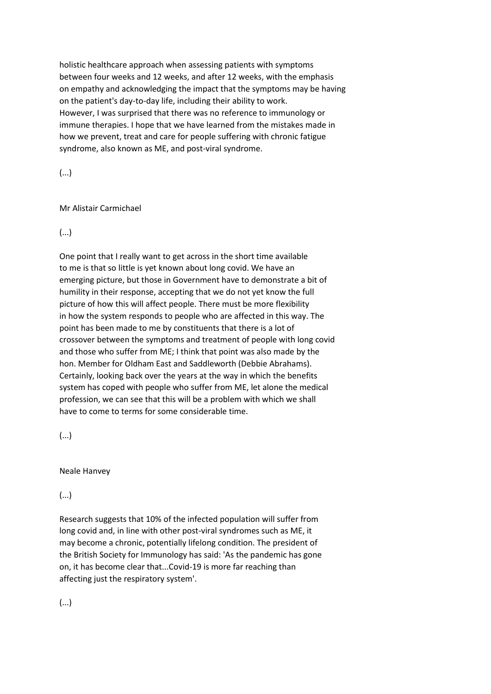holistic healthcare approach when assessing patients with symptoms between four weeks and 12 weeks, and after 12 weeks, with the emphasis on empathy and acknowledging the impact that the symptoms may be having on the patient's day-to-day life, including their ability to work. However, I was surprised that there was no reference to immunology or immune therapies. I hope that we have learned from the mistakes made in how we prevent, treat and care for people suffering with chronic fatigue syndrome, also known as ME, and post-viral syndrome.

(...)

## Mr Alistair Carmichael

(...)

One point that I really want to get across in the short time available to me is that so little is yet known about long covid. We have an emerging picture, but those in Government have to demonstrate a bit of humility in their response, accepting that we do not yet know the full picture of how this will affect people. There must be more flexibility in how the system responds to people who are affected in this way. The point has been made to me by constituents that there is a lot of crossover between the symptoms and treatment of people with long covid and those who suffer from ME; I think that point was also made by the hon. Member for Oldham East and Saddleworth (Debbie Abrahams). Certainly, looking back over the years at the way in which the benefits system has coped with people who suffer from ME, let alone the medical profession, we can see that this will be a problem with which we shall have to come to terms for some considerable time.

(...)

Neale Hanvey

(...)

Research suggests that 10% of the infected population will suffer from long covid and, in line with other post-viral syndromes such as ME, it may become a chronic, potentially lifelong condition. The president of the British Society for Immunology has said: 'As the pandemic has gone on, it has become clear that...Covid-19 is more far reaching than affecting just the respiratory system'.

(...)